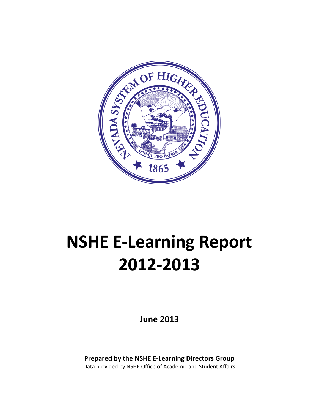

# **NSHE E-Learning Report 2012-2013**

**June 2013**

**Prepared by the NSHE E-Learning Directors Group** Data provided by NSHE Office of Academic and Student Affairs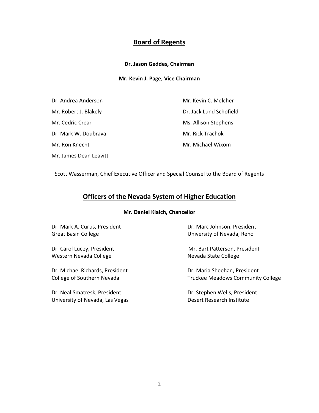# **Board of Regents**

### **Dr. Jason Geddes, Chairman**

### **Mr. Kevin J. Page, Vice Chairman**

| Dr. Andrea Anderson    | Mr. Kevin C. Melcher    |
|------------------------|-------------------------|
| Mr. Robert J. Blakely  | Dr. Jack Lund Schofield |
| Mr. Cedric Crear       | Ms. Allison Stephens    |
| Dr. Mark W. Doubrava   | Mr. Rick Trachok        |
| Mr. Ron Knecht         | Mr. Michael Wixom       |
| Mr. James Dean Leavitt |                         |

Scott Wasserman, Chief Executive Officer and Special Counsel to the Board of Regents

# **Officers of the Nevada System of Higher Education**

### **Mr. Daniel Klaich, Chancellor**

| Dr. Mark A. Curtis, President |  |
|-------------------------------|--|
| <b>Great Basin College</b>    |  |

Western Nevada College Nevada State College

Dr. Michael Richards, President Dr. Maria Sheehan, President

Dr. Neal Smatresk, President New York Stephen Wells, President University of Nevada, Las Vegas **Desert Research Institute** 

Dr. Marc Johnson, President University of Nevada, Reno

Dr. Carol Lucey, President Mr. Bart Patterson, President

College of Southern Nevada Truckee Meadows Community College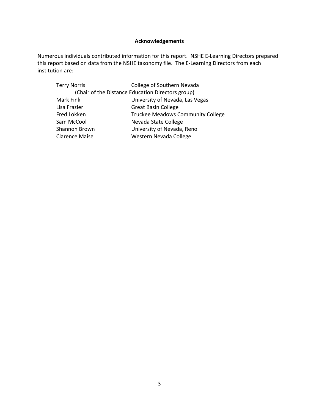### **Acknowledgements**

Numerous individuals contributed information for this report. NSHE E-Learning Directors prepared this report based on data from the NSHE taxonomy file. The E-Learning Directors from each institution are:

| College of Southern Nevada                        |  |  |
|---------------------------------------------------|--|--|
| (Chair of the Distance Education Directors group) |  |  |
| University of Nevada, Las Vegas                   |  |  |
| <b>Great Basin College</b>                        |  |  |
| <b>Truckee Meadows Community College</b>          |  |  |
| Nevada State College                              |  |  |
| University of Nevada, Reno                        |  |  |
| Western Nevada College                            |  |  |
|                                                   |  |  |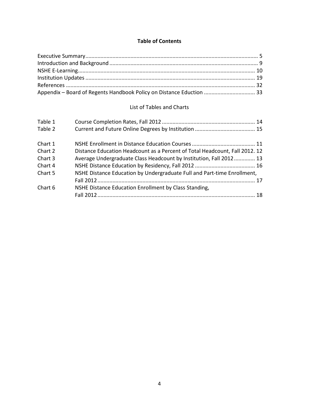### **Table of Contents**

| Appendix - Board of Regents Handbook Policy on Distance Eduction  33 |  |
|----------------------------------------------------------------------|--|

### List of Tables and Charts

| Table 1 |                                                                             |  |
|---------|-----------------------------------------------------------------------------|--|
| Table 2 |                                                                             |  |
| Chart 1 |                                                                             |  |
| Chart 2 | Distance Education Headcount as a Percent of Total Headcount, Fall 2012. 12 |  |
| Chart 3 | Average Undergraduate Class Headcount by Institution, Fall 2012 13          |  |
| Chart 4 |                                                                             |  |
| Chart 5 | NSHE Distance Education by Undergraduate Full and Part-time Enrollment,     |  |
|         |                                                                             |  |
| Chart 6 | NSHE Distance Education Enrollment by Class Standing,                       |  |
|         |                                                                             |  |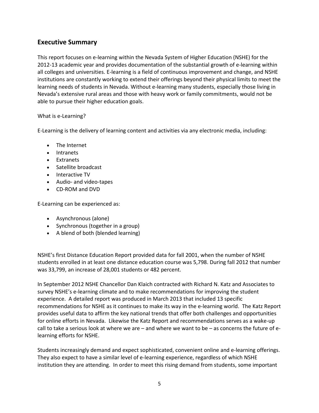# **Executive Summary**

This report focuses on e-learning within the Nevada System of Higher Education (NSHE) for the 2012-13 academic year and provides documentation of the substantial growth of e-learning within all colleges and universities. E-learning is a field of continuous improvement and change, and NSHE institutions are constantly working to extend their offerings beyond their physical limits to meet the learning needs of students in Nevada. Without e-learning many students, especially those living in Nevada's extensive rural areas and those with heavy work or family commitments, would not be able to pursue their higher education goals.

### What is e-Learning?

E-Learning is the delivery of learning content and activities via any electronic media, including:

- The Internet
- Intranets
- Extranets
- Satellite broadcast
- Interactive TV
- Audio- and video-tapes
- CD-ROM and DVD

E-Learning can be experienced as:

- Asynchronous (alone)
- Synchronous (together in a group)
- A blend of both (blended learning)

NSHE's first Distance Education Report provided data for fall 2001, when the number of NSHE students enrolled in at least one distance education course was 5,798. During fall 2012 that number was 33,799, an increase of 28,001 students or 482 percent.

In September 2012 NSHE Chancellor Dan Klaich contracted with Richard N. Katz and Associates to survey NSHE's e-learning climate and to make recommendations for improving the student experience. A detailed report was produced in March 2013 that included 13 specific recommendations for NSHE as it continues to make its way in the e-learning world. The Katz Report provides useful data to affirm the key national trends that offer both challenges and opportunities for online efforts in Nevada. Likewise the Katz Report and recommendations serves as a wake-up call to take a serious look at where we are – and where we want to be – as concerns the future of elearning efforts for NSHE.

Students increasingly demand and expect sophisticated, convenient online and e-learning offerings. They also expect to have a similar level of e-learning experience, regardless of which NSHE institution they are attending. In order to meet this rising demand from students, some important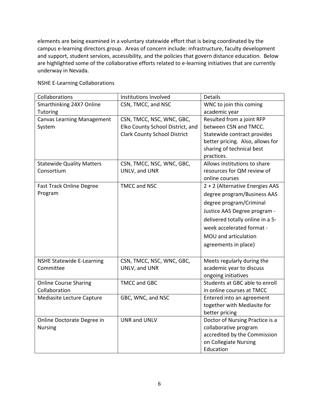elements are being examined in a voluntary statewide effort that is being coordinated by the campus e-learning directors group. Areas of concern include: infrastructure, faculty development and support, student services, accessibility, and the policies that govern distance education. Below are highlighted some of the collaborative efforts related to e-learning initiatives that are currently underway in Nevada.

| Collaborations                    | Institutions Involved               | <b>Details</b>                   |
|-----------------------------------|-------------------------------------|----------------------------------|
| Smarthinking 24X7 Online          | CSN, TMCC, and NSC                  | WNC to join this coming          |
| Tutoring                          |                                     | academic year                    |
| <b>Canvas Learning Management</b> | CSN, TMCC, NSC, WNC, GBC,           | Resulted from a joint RFP        |
| System                            | Elko County School District, and    | between CSN and TMCC.            |
|                                   | <b>Clark County School District</b> | Statewide contract provides      |
|                                   |                                     | better pricing. Also, allows for |
|                                   |                                     | sharing of technical best        |
|                                   |                                     | practices.                       |
| <b>Statewide Quality Matters</b>  | CSN, TMCC, NSC, WNC, GBC,           | Allows institutions to share     |
| Consortium                        | UNLV, and UNR                       | resources for QM review of       |
|                                   |                                     | online courses                   |
| <b>Fast Track Online Degree</b>   | <b>TMCC and NSC</b>                 | 2 + 2 (Alternative Energies AAS  |
| Program                           |                                     | degree program/Business AAS      |
|                                   |                                     | degree program/Criminal          |
|                                   |                                     | Justice AAS Degree program -     |
|                                   |                                     | delivered totally online in a 5- |
|                                   |                                     | week accelerated format -        |
|                                   |                                     | MOU and articulation             |
|                                   |                                     | agreements in place)             |
|                                   |                                     |                                  |
| <b>NSHE Statewide E-Learning</b>  | CSN, TMCC, NSC, WNC, GBC,           | Meets regularly during the       |
| Committee                         | UNLV, and UNR                       | academic year to discuss         |
|                                   |                                     | ongoing initiatives              |
| <b>Online Course Sharing</b>      | <b>TMCC and GBC</b>                 | Students at GBC able to enroll   |
| Collaboration                     |                                     | in online courses at TMCC        |
| Mediasite Lecture Capture         | GBC, WNC, and NSC                   | Entered into an agreement        |
|                                   |                                     | together with Mediasite for      |
|                                   |                                     | better pricing                   |
| Online Doctorate Degree in        | <b>UNR and UNLV</b>                 | Doctor of Nursing Practice is a  |
| <b>Nursing</b>                    |                                     | collaborative program            |
|                                   |                                     | accredited by the Commission     |
|                                   |                                     | on Collegiate Nursing            |
|                                   |                                     | Education                        |

NSHE E-Learning Collaborations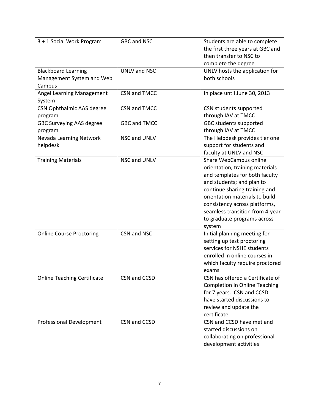| 3 + 1 Social Work Program                                         | <b>GBC and NSC</b>  | Students are able to complete<br>the first three years at GBC and<br>then transfer to NSC to<br>complete the degree                                                                                                                                                                                      |
|-------------------------------------------------------------------|---------------------|----------------------------------------------------------------------------------------------------------------------------------------------------------------------------------------------------------------------------------------------------------------------------------------------------------|
| <b>Blackboard Learning</b><br>Management System and Web<br>Campus | <b>UNLV and NSC</b> | UNLV hosts the application for<br>both schools                                                                                                                                                                                                                                                           |
| Angel Learning Management<br>System                               | CSN and TMCC        | In place until June 30, 2013                                                                                                                                                                                                                                                                             |
| <b>CSN Ophthalmic AAS degree</b><br>program                       | CSN and TMCC        | CSN students supported<br>through IAV at TMCC                                                                                                                                                                                                                                                            |
| <b>GBC Surveying AAS degree</b><br>program                        | <b>GBC and TMCC</b> | GBC students supported<br>through IAV at TMCC                                                                                                                                                                                                                                                            |
| Nevada Learning Network<br>helpdesk                               | <b>NSC and UNLV</b> | The Helpdesk provides tier one<br>support for students and<br>faculty at UNLV and NSC                                                                                                                                                                                                                    |
| <b>Training Materials</b>                                         | NSC and UNLV        | Share WebCampus online<br>orientation, training materials<br>and templates for both faculty<br>and students; and plan to<br>continue sharing training and<br>orientation materials to build<br>consistency across platforms,<br>seamless transition from 4-year<br>to graduate programs across<br>system |
| <b>Online Course Proctoring</b>                                   | CSN and NSC         | Initial planning meeting for<br>setting up test proctoring<br>services for NSHE students<br>enrolled in online courses in<br>which faculty require proctored<br>exams                                                                                                                                    |
| <b>Online Teaching Certificate</b>                                | CSN and CCSD        | CSN has offered a Certificate of<br><b>Completion in Online Teaching</b><br>for 7 years. CSN and CCSD<br>have started discussions to<br>review and update the<br>certificate.                                                                                                                            |
| <b>Professional Development</b>                                   | CSN and CCSD        | CSN and CCSD have met and<br>started discussions on<br>collaborating on professional<br>development activities                                                                                                                                                                                           |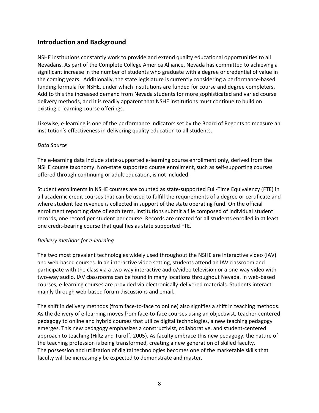# **Introduction and Background**

NSHE institutions constantly work to provide and extend quality educational opportunities to all Nevadans. As part of the Complete College America Alliance, Nevada has committed to achieving a significant increase in the number of students who graduate with a degree or credential of value in the coming years. Additionally, the state legislature is currently considering a performance-based funding formula for NSHE, under which institutions are funded for course and degree completers. Add to this the increased demand from Nevada students for more sophisticated and varied course delivery methods, and it is readily apparent that NSHE institutions must continue to build on existing e-learning course offerings.

Likewise, e-learning is one of the performance indicators set by the Board of Regents to measure an institution's effectiveness in delivering quality education to all students.

### *Data Source*

The e-learning data include state-supported e-learning course enrollment only, derived from the NSHE course taxonomy. Non-state supported course enrollment, such as self-supporting courses offered through continuing or adult education, is not included.

Student enrollments in NSHE courses are counted as state-supported Full-Time Equivalency (FTE) in all academic credit courses that can be used to fulfill the requirements of a degree or certificate and where student fee revenue is collected in support of the state operating fund. On the official enrollment reporting date of each term, institutions submit a file composed of individual student records, one record per student per course. Records are created for all students enrolled in at least one credit-bearing course that qualifies as state supported FTE.

### *Delivery methods for e-learning*

The two most prevalent technologies widely used throughout the NSHE are interactive video (IAV) and web-based courses. In an interactive video setting, students attend an IAV classroom and participate with the class via a two-way interactive audio/video television or a one-way video with two-way audio. IAV classrooms can be found in many locations throughout Nevada. In web-based courses, e-learning courses are provided via electronically-delivered materials. Students interact mainly through web-based forum discussions and email.

The shift in delivery methods (from face-to-face to online) also signifies a shift in teaching methods. As the delivery of e-learning moves from face-to-face courses using an objectivist, teacher-centered pedagogy to online and hybrid courses that utilize digital technologies, a new teaching pedagogy emerges. This new pedagogy emphasizes a constructivist, collaborative, and student-centered approach to teaching (Hiltz and Turoff, 2005). As faculty embrace this new pedagogy, the nature of the teaching profession is being transformed, creating a new generation of skilled faculty. The possession and utilization of digital technologies becomes one of the marketable skills that faculty will be increasingly be expected to demonstrate and master.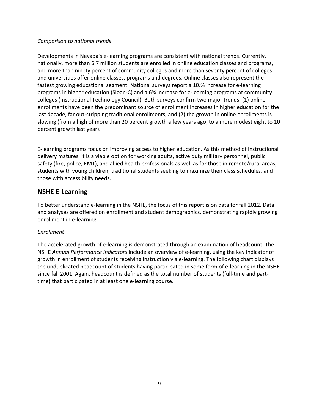### *Comparison to national trends*

Developments in Nevada's e-learning programs are consistent with national trends. Currently, nationally, more than 6.7 million students are enrolled in online education classes and programs, and more than ninety percent of community colleges and more than seventy percent of colleges and universities offer online classes, programs and degrees. Online classes also represent the fastest growing educational segment. National surveys report a 10.% increase for e-learning programs in higher education (Sloan-C) and a 6% increase for e-learning programs at community colleges (Instructional Technology Council). Both surveys confirm two major trends: (1) online enrollments have been the predominant source of enrollment increases in higher education for the last decade, far out-stripping traditional enrollments, and (2) the growth in online enrollments is slowing (from a high of more than 20 percent growth a few years ago, to a more modest eight to 10 percent growth last year).

E-learning programs focus on improving access to higher education. As this method of instructional delivery matures, it is a viable option for working adults, active duty military personnel, public safety (fire, police, EMT), and allied health professionals as well as for those in remote/rural areas, students with young children, traditional students seeking to maximize their class schedules, and those with accessibility needs.

# **NSHE E-Learning**

To better understand e-learning in the NSHE, the focus of this report is on data for fall 2012. Data and analyses are offered on enrollment and student demographics, demonstrating rapidly growing enrollment in e-learning.

### *Enrollment*

The accelerated growth of e-learning is demonstrated through an examination of headcount. The NSHE *Annual Performance Indicators* include an overview of e-learning, using the key indicator of growth in enrollment of students receiving instruction via e-learning. The following chart displays the unduplicated headcount of students having participated in some form of e-learning in the NSHE since fall 2001. Again, headcount is defined as the total number of students (full-time and parttime) that participated in at least one e-learning course.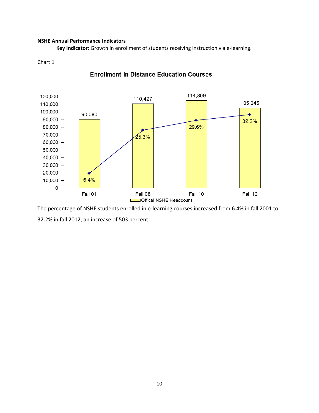#### **NSHE Annual Performance Indicators**

**Key Indicator:** Growth in enrollment of students receiving instruction via e-learning.

#### Chart 1



### **Enrollment in Distance Education Courses**

The percentage of NSHE students enrolled in e-learning courses increased from 6.4% in fall 2001 to 32.2% in fall 2012, an increase of 503 percent.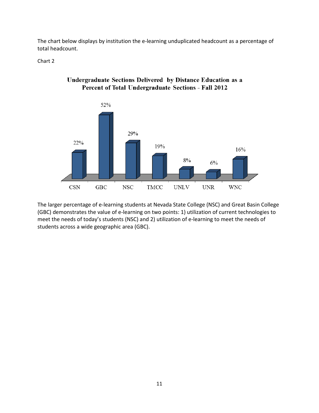The chart below displays by institution the e-learning unduplicated headcount as a percentage of total headcount.

Chart 2



# Undergraduate Sections Delivered by Distance Education as a Percent of Total Undergraduate Sections - Fall 2012

The larger percentage of e-learning students at Nevada State College (NSC) and Great Basin College (GBC) demonstrates the value of e-learning on two points: 1) utilization of current technologies to meet the needs of today's students (NSC) and 2) utilization of e-learning to meet the needs of students across a wide geographic area (GBC).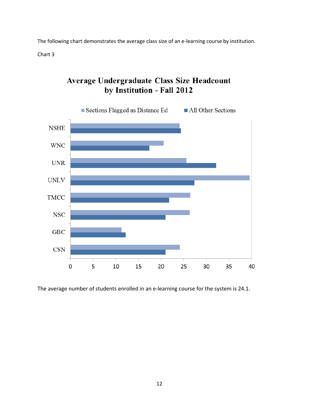The following chart demonstrates the average class size of an e-learning course by institution.

Chart 3

# Average Undergraduate Class Size Headcount by Institution - Fall 2012



The average number of students enrolled in an e-learning course for the system is 24.1.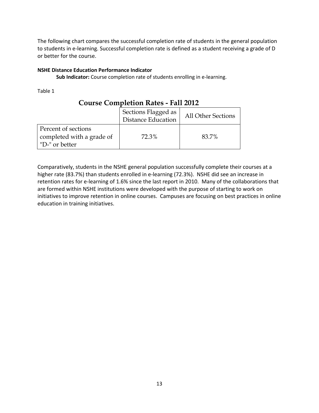The following chart compares the successful completion rate of students in the general population to students in e-learning. Successful completion rate is defined as a student receiving a grade of D or better for the course.

### **NSHE Distance Education Performance Indicator**

**Sub Indicator:** Course completion rate of students enrolling in e-learning.

Table 1

|                                                                    | Sections Flagged as<br><b>Distance Education</b> | <b>All Other Sections</b> |
|--------------------------------------------------------------------|--------------------------------------------------|---------------------------|
| Percent of sections<br>completed with a grade of<br>"D-" or better | 72.3%                                            | 83.7%                     |

# **Course Completion Rates - Fall 2012**

Comparatively, students in the NSHE general population successfully complete their courses at a higher rate (83.7%) than students enrolled in e-learning (72.3%). NSHE did see an increase in retention rates for e-learning of 1.6% since the last report in 2010. Many of the collaborations that are formed within NSHE institutions were developed with the purpose of starting to work on initiatives to improve retention in online courses. Campuses are focusing on best practices in online education in training initiatives.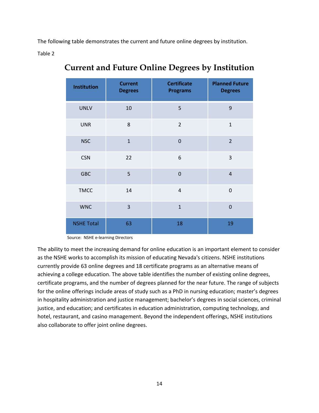The following table demonstrates the current and future online degrees by institution.

Table 2

| <b>Institution</b> | <b>Current</b><br><b>Degrees</b> | <b>Certificate</b><br><b>Programs</b> | <b>Planned Future</b><br><b>Degrees</b> |
|--------------------|----------------------------------|---------------------------------------|-----------------------------------------|
| <b>UNLV</b>        | 10                               | 5                                     | 9                                       |
| <b>UNR</b>         | 8                                | $\overline{2}$                        | $\overline{1}$                          |
| <b>NSC</b>         | $\mathbf{1}$                     | $\overline{0}$                        | $\overline{2}$                          |
| <b>CSN</b>         | 22                               | 6                                     | 3                                       |
| <b>GBC</b>         | 5                                | $\overline{0}$                        | $\overline{4}$                          |
| <b>TMCC</b>        | 14                               | $\overline{4}$                        | $\overline{0}$                          |
| <b>WNC</b>         | 3                                | $\mathbf{1}$                          | $\mathbf 0$                             |
| <b>NSHE Total</b>  | 63                               | 18                                    | 19                                      |

# **Current and Future Online Degrees by Institution**

Source: NSHE e-learning Directors

The ability to meet the increasing demand for online education is an important element to consider as the NSHE works to accomplish its mission of educating Nevada's citizens. NSHE institutions currently provide 63 online degrees and 18 certificate programs as an alternative means of achieving a college education. The above table identifies the number of existing online degrees, certificate programs, and the number of degrees planned for the near future. The range of subjects for the online offerings include areas of study such as a PhD in nursing education; master's degrees in hospitality administration and justice management; bachelor's degrees in social sciences, criminal justice, and education; and certificates in education administration, computing technology, and hotel, restaurant, and casino management. Beyond the independent offerings, NSHE institutions also collaborate to offer joint online degrees.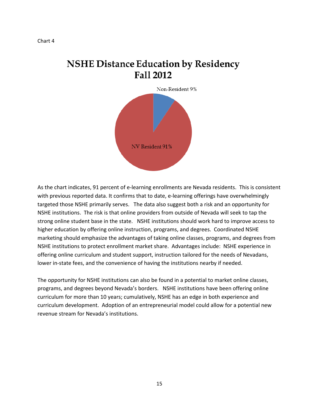# **NSHE Distance Education by Residency Fall 2012**



As the chart indicates, 91 percent of e-learning enrollments are Nevada residents. This is consistent with previous reported data. It confirms that to date, e-learning offerings have overwhelmingly targeted those NSHE primarily serves. The data also suggest both a risk and an opportunity for NSHE institutions. The risk is that online providers from outside of Nevada will seek to tap the strong online student base in the state. NSHE institutions should work hard to improve access to higher education by offering online instruction, programs, and degrees. Coordinated NSHE marketing should emphasize the advantages of taking online classes, programs, and degrees from NSHE institutions to protect enrollment market share. Advantages include: NSHE experience in offering online curriculum and student support, instruction tailored for the needs of Nevadans, lower in-state fees, and the convenience of having the institutions nearby if needed.

The opportunity for NSHE institutions can also be found in a potential to market online classes, programs, and degrees beyond Nevada's borders. NSHE institutions have been offering online curriculum for more than 10 years; cumulatively, NSHE has an edge in both experience and curriculum development. Adoption of an entrepreneurial model could allow for a potential new revenue stream for Nevada's institutions.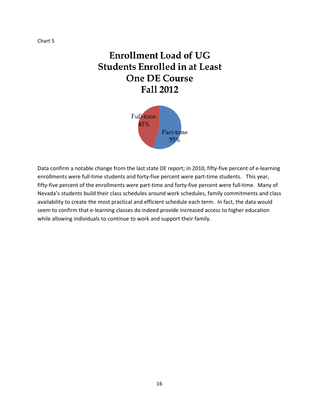# **Enrollment Load of UG Students Enrolled in at Least One DE Course** Fall 2012



Data confirm a notable change from the last state DE report; in 2010, fifty-five percent of e-learning enrollments were full-time students and forty-five percent were part-time students. This year, fifty-five percent of the enrollments were part-time and forty-five percent were full-time. Many of Nevada's students build their class schedules around work schedules, family commitments and class availability to create the most practical and efficient schedule each term. In fact, the data would seem to confirm that e-learning classes do indeed provide increased access to higher education while allowing individuals to continue to work and support their family.

Chart 5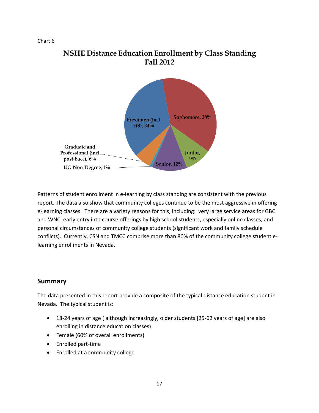Chart 6

# **NSHE Distance Education Enrollment by Class Standing** Fall 2012



Patterns of student enrollment in e-learning by class standing are consistent with the previous report. The data also show that community colleges continue to be the most aggressive in offering e-learning classes. There are a variety reasons for this, including: very large service areas for GBC and WNC, early entry into course offerings by high school students, especially online classes, and personal circumstances of community college students (significant work and family schedule conflicts). Currently, CSN and TMCC comprise more than 80% of the community college student elearning enrollments in Nevada.

# **Summary**

The data presented in this report provide a composite of the typical distance education student in Nevada. The typical student is:

- 18-24 years of age ( although increasingly, older students [25-62 years of age] are also enrolling in distance education classes)
- Female (60% of overall enrollments)
- Enrolled part-time
- Enrolled at a community college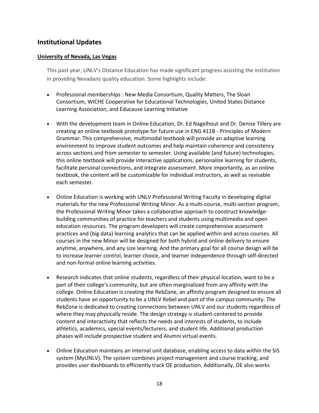# **Institutional Updates**

### **University of Nevada, Las Vegas**

This past year, UNLV's Distance Education has made significant progress assisting the institution in providing Nevadans quality education. Some highlights include:

- Professional memberships : New Media Consortium, Quality Matters, The Sloan Consortium, WICHE Cooperative for Educational Technologies, United States Distance Learning Association, and Educause Learning Initiative
- With the development team in Online Education, Dr. Ed Nagelhout and Dr. Denise Tillery are creating an online textbook prototype for future use in ENG 411B - Principles of Modern Grammar. This comprehensive, multimodal textbook will provide an adaptive learning environment to improve student outcomes and help maintain coherence and consistency across sections and from semester to semester. Using available (and future) technologies, this online textbook will provide interactive applications, personalize learning for students, facilitate personal connections, and integrate assessment. More importantly, as an online textbook, the content will be customizable for individual instructors, as well as revisable each semester.
- Online Education is working with UNLV Professional Writing Faculty in developing digital materials for the new Professional Writing Minor. As a multi-course, multi-section program, the Professional Writing Minor takes a collaborative approach to construct knowledgebuilding communities of practice for teachers and students using multimedia and open education resources. The program developers will create comprehensive assessment practices and (big data) learning analytics that can be applied within and across courses. All courses in the new Minor will be designed for both hybrid and online delivery to ensure anytime, anywhere, and any size learning. And the primary goal for all course design will be to increase learner control, learner choice, and learner independence through self-directed and non-formal online learning activities.
- Research indicates that online students, regardless of their physical location, want to be a part of their college's community, but are often marginalized from any affinity with the college. Online Education is creating the RebZone, an affinity program designed to ensure all students have an opportunity to be a UNLV Rebel and part of the campus community. The RebZone is dedicated to creating connections between UNLV and our students regardless of where they may physically reside. The design strategy is student-centered to provide content and interactivity that reflects the needs and interests of students, to include athletics, academics, special events/lecturers, and student life. Additional production phases will include prospective student and Alumni virtual events.
- Online Education maintains an internal unit database, enabling access to data within the SIS system (MyUNLV). The system combines project management and course tracking, and provides user dashboards to efficiently track OE production. Additionally, OE also works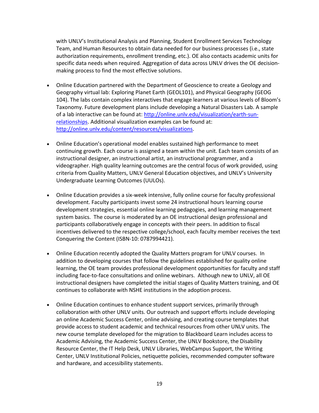with UNLV's Institutional Analysis and Planning, Student Enrollment Services Technology Team, and Human Resources to obtain data needed for our business processes (i.e., state authorization requirements, enrollment trending, etc.). OE also contacts academic units for specific data needs when required. Aggregation of data across UNLV drives the OE decisionmaking process to find the most effective solutions.

- Online Education partnered with the Department of Geoscience to create a Geology and Geography virtual lab: Exploring Planet Earth (GEOL101), and Physical Geography (GEOG 104). The labs contain complex interactives that engage learners at various levels of Bloom's Taxonomy. Future development plans include developing a Natural Disasters Lab. A sample of a lab interactive can be found at: [http://online.unlv.edu/visualization/earth-sun](http://online.unlv.edu/visualization/earth-sun-relationships)[relationships.](http://online.unlv.edu/visualization/earth-sun-relationships) Additional visualization examples can be found at: [http://online.unlv.edu/content/resources/visualizations.](http://online.unlv.edu/content/resources/visualizations)
- Online Education's operational model enables sustained high performance to meet continuing growth. Each course is assigned a team within the unit. Each team consists of an instructional designer, an instructional artist, an instructional programmer, and a videographer. High quality learning outcomes are the central focus of work provided, using criteria from Quality Matters, UNLV General Education objectives, and UNLV's University Undergraduate Learning Outcomes (UULOs).
- Online Education provides a six-week intensive, fully online course for faculty professional development. Faculty participants invest some 24 instructional hours learning course development strategies, essential online learning pedagogies, and learning management system basics. The course is moderated by an OE instructional design professional and participants collaboratively engage in concepts with their peers. In addition to fiscal incentives delivered to the respective college/school, each faculty member receives the text Conquering the Content (ISBN-10: 0787994421).
- Online Education recently adopted the Quality Matters program for UNLV courses. In addition to developing courses that follow the guidelines established for quality online learning, the OE team provides professional development opportunities for faculty and staff including face-to-face consultations and online webinars. Although new to UNLV, all OE instructional designers have completed the initial stages of Quality Matters training, and OE continues to collaborate with NSHE institutions in the adoption process.
- Online Education continues to enhance student support services, primarily through collaboration with other UNLV units. Our outreach and support efforts include developing an online Academic Success Center, online advising, and creating course templates that provide access to student academic and technical resources from other UNLV units. The new course template developed for the migration to Blackboard Learn includes access to Academic Advising, the Academic Success Center, the UNLV Bookstore, the Disability Resource Center, the IT Help Desk, UNLV Libraries, WebCampus Support, the Writing Center, UNLV Institutional Policies, netiquette policies, recommended computer software and hardware, and accessibility statements.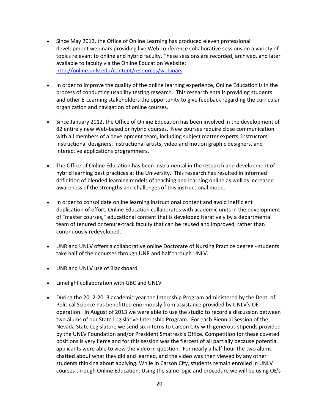- Since May 2012, the Office of Online Learning has produced eleven professional development webinars providing live Web conference collaborative sessions on a variety of topics relevant to online and hybrid faculty. These sessions are recorded, archived, and later available to faculty via the Online Education Website: <http://online.unlv.edu/content/resources/webinars>
- In order to improve the quality of the online learning experience, Online Education is in the process of conducting usability testing research. This research entails providing students and other E-Learning stakeholders the opportunity to give feedback regarding the curricular organization and navigation of online courses.
- Since January 2012, the Office of Online Education has been involved in the development of 82 entirely new Web-based or hybrid courses. New courses require close communication with all members of a development team, including subject matter experts, instructors, instructional designers, instructional artists, video and motion graphic designers, and interactive applications programmers.
- The Office of Online Education has been instrumental in the research and development of hybrid learning best practices at the University. This research has resulted in informed definition of blended learning models of teaching and learning online as well as increased awareness of the strengths and challenges of this instructional mode.
- In order to consolidate online learning instructional content and avoid inefficient duplication of effort, Online Education collaborates with academic units in the development of "master courses," educational content that is developed iteratively by a departmental team of tenured or tenure-track faculty that can be reused and improved, rather than continuously redeveloped.
- UNR and UNLV offers a collaborative online Doctorate of Nursing Practice degree students take half of their courses through UNR and half through UNLV.
- UNR and UNLV use of Blackboard
- Limelight collaboration with GBC and UNLV
- During the 2012-2013 academic year the Internship Program administered by the Dept. of Political Science has benefitted enormously from assistance provided by UNLV's OE operation. In August of 2013 we were able to use the studio to record a discussion between two alums of our State Legislative Internship Program. For each Biennial Session of the Nevada State Legislature we send six interns to Carson City with generous stipends provided by the UNLV Foundation and/or President Smatresk's Office. Competition for these coveted positions is very fierce and for this session was the fiercest of all partially because potential applicants were able to view the video in question. For nearly a half-hour the two alums chatted about what they did and learned, and the video was then viewed by any other students thinking about applying. While in Carson City, students remain enrolled in UNLV courses through Online Education. Using the same logic and procedure we will be using OE's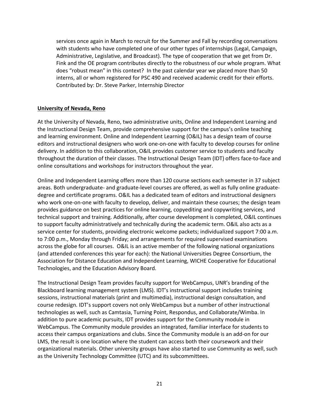services once again in March to recruit for the Summer and Fall by recording conversations with students who have completed one of our other types of internships (Legal, Campaign, Administrative, Legislative, and Broadcast). The type of cooperation that we get from Dr. Fink and the OE program contributes directly to the robustness of our whole program. What does "robust mean" in this context? In the past calendar year we placed more than 50 interns, all or whom registered for PSC 490 and received academic credit for their efforts. Contributed by: Dr. Steve Parker, Internship Director

### **University of Nevada, Reno**

At the University of Nevada, Reno, two administrative units, Online and Independent Learning and the Instructional Design Team, provide comprehensive support for the campus's online teaching and learning environment. Online and Independent Learning (O&IL) has a design team of course editors and instructional designers who work one-on-one with faculty to develop courses for online delivery. In addition to this collaboration, O&IL provides customer service to students and faculty throughout the duration of their classes. The Instructional Design Team (IDT) offers face-to-face and online consultations and workshops for instructors throughout the year.

Online and Independent Learning offers more than 120 course sections each semester in 37 subject areas. Both undergraduate- and graduate-level courses are offered, as well as fully online graduatedegree and certificate programs. O&IL has a dedicated team of editors and instructional designers who work one-on-one with faculty to develop, deliver, and maintain these courses; the design team provides guidance on best practices for online learning, copyediting and copywriting services, and technical support and training. Additionally, after course development is completed, O&IL continues to support faculty administratively and technically during the academic term. O&IL also acts as a service center for students, providing electronic welcome packets; individualized support 7:00 a.m. to 7:00 p.m., Monday through Friday; and arrangements for required supervised examinations across the globe for all courses. O&IL is an active member of the following national organizations (and attended conferences this year for each): the National Universities Degree Consortium, the Association for Distance Education and Independent Learning, WICHE Cooperative for Educational Technologies, and the Education Advisory Board.

The Instructional Design Team provides faculty support for WebCampus, UNR's branding of the Blackboard learning management system (LMS). IDT's instructional support includes training sessions, instructional materials (print and multimedia), instructional design consultation, and course redesign. IDT's support covers not only WebCampus but a number of other instructional technologies as well, such as Camtasia, Turning Point, Respondus, and Collaborate/Wimba. In addition to pure academic pursuits, IDT provides support for the Community module in WebCampus. The Community module provides an integrated, familiar interface for students to access their campus organizations and clubs. Since the Community module is an add-on for our LMS, the result is one location where the student can access both their coursework and their organizational materials. Other university groups have also started to use Community as well, such as the University Technology Committee (UTC) and its subcommittees.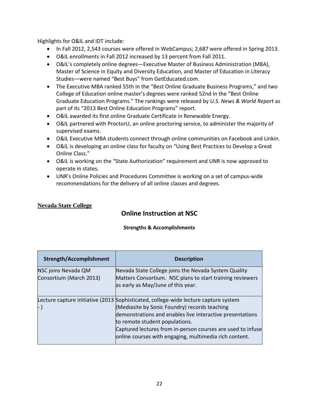Highlights for O&IL and IDT include:

- In Fall 2012, 2,543 courses were offered in WebCampus; 2,687 were offered in Spring 2013.
- O&IL enrollments in Fall 2012 increased by 13 percent from Fall 2011.
- O&IL's completely online degrees—Executive Master of Business Administration (MBA), Master of Science in Equity and Diversity Education, and Master of Education in Literacy Studies—were named "Best Buys" from GetEducated.com.
- The Executive MBA ranked 55th in the "Best Online Graduate Business Programs," and two College of Education online master's degrees were ranked 52nd in the "Best Online Graduate Education Programs." The rankings were released by *U.S. News & World Report* as part of its "2013 Best Online Education Programs" report.
- O&IL awarded its first online Graduate Certificate in Renewable Energy.
- O&IL partnered with ProctorU, an online proctoring service, to administer the majority of supervised exams.
- O&IL Executive MBA students connect through online communities on Facebook and Linkin.
- O&IL is developing an online class for faculty on "Using Best Practices to Develop a Great Online Class."
- O&IL is working on the "State Authorization" requirement and UNR is now approved to operate in states.
- UNR's Online Policies and Procedures Committee is working on a set of campus-wide recommendations for the delivery of all online classes and degrees.

### **Nevada State College**

# **Online Instruction at NSC**

### **Strengths & Accomplishments**

| <b>Strength/Accomplishment</b> | <b>Description</b>                                                                  |
|--------------------------------|-------------------------------------------------------------------------------------|
| NSC joins Nevada QM            | Nevada State College joins the Nevada System Quality                                |
| Consortium (March 2013)        | Matters Consortium. NSC plans to start training reviewers                           |
|                                | as early as May/June of this year.                                                  |
|                                |                                                                                     |
|                                | Lecture capture initiative (2013 Sophisticated, college-wide lecture capture system |
|                                | (Mediasite by Sonic Foundry) records teaching                                       |
|                                | demonstrations and enables live interactive presentations                           |
|                                | to remote student populations.                                                      |
|                                | Captured lectures from in-person courses are used to infuse                         |
|                                | online courses with engaging, multimedia rich content.                              |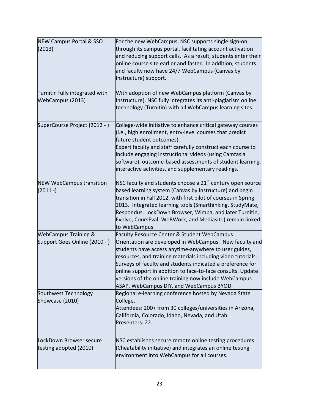| <b>NEW Campus Portal &amp; SSO</b><br>(2013)<br>Turnitin fully integrated with<br>WebCampus (2013) | For the new WebCampus, NSC supports single sign-on<br>through its campus portal, facilitating account activation<br>and reducing support calls. As a result, students enter their<br>online course site earlier and faster. In addition, students<br>and faculty now have 24/7 WebCampus (Canvas by<br>Instructure) support.<br>With adoption of new WebCampus platform (Canvas by<br>Instructure), NSC fully integrates its anti-plagiarism online<br>technology (Turnitin) with all WebCampus learning sites. |
|----------------------------------------------------------------------------------------------------|-----------------------------------------------------------------------------------------------------------------------------------------------------------------------------------------------------------------------------------------------------------------------------------------------------------------------------------------------------------------------------------------------------------------------------------------------------------------------------------------------------------------|
| SuperCourse Project (2012 - )                                                                      | College-wide initiative to enhance critical gateway courses<br>(i.e., high enrollment, entry-level courses that predict<br>future student outcomes).<br>Expert faculty and staff carefully construct each course to<br>include engaging instructional videos (using Camtasia<br>software), outcome-based assessments of student learning,<br>interactive activities, and supplementary readings.                                                                                                                |
| <b>NEW WebCampus transition</b><br>$(2011 - )$                                                     | NSC faculty and students choose a $21st$ century open source<br>based learning system (Canvas by Instructure) and begin<br>transition in Fall 2012, with first pilot of courses in Spring<br>2013. Integrated learning tools (Smarthinking, StudyMate,<br>Respondus, LockDown Browser, Wimba, and later Turnitin,<br>Evolve, CoursEval, WeBWork, and Mediasite) remain linked<br>to WebCampus.                                                                                                                  |
| <b>WebCampus Training &amp;</b><br>Support Goes Online (2010 - )                                   | Faculty Resource Center & Student WebCampus<br>Orientation are developed in WebCampus. New faculty and<br>students have access anytime-anywhere to user guides,<br>resources, and training materials including video tutorials.<br>Surveys of faculty and students indicated a preference for<br>online support in addition to face-to-face consults. Update<br>versions of the online training now include WebCampus<br>ASAP, WebCampus DIY, and WebCampus BYOD.                                               |
| Southwest Technology<br>Showcase (2010)                                                            | Regional e-learning conference hosted by Nevada State<br>College.<br>Attendees: 200+ from 30 colleges/universities in Arizona,<br>California, Colorado, Idaho, Nevada, and Utah.<br>Presenters: 22.                                                                                                                                                                                                                                                                                                             |
| LockDown Browser secure<br>testing adopted (2010)                                                  | NSC establishes secure remote online testing procedures<br>(Cheatability initiative) and integrates an online testing<br>environment into WebCampus for all courses.                                                                                                                                                                                                                                                                                                                                            |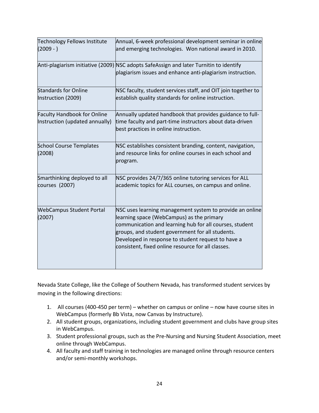| <b>Technology Fellows Institute</b><br>$(2009 - )$                   | Annual, 6-week professional development seminar in online<br>and emerging technologies. Won national award in 2010.                                                                                                                                                                                                              |
|----------------------------------------------------------------------|----------------------------------------------------------------------------------------------------------------------------------------------------------------------------------------------------------------------------------------------------------------------------------------------------------------------------------|
|                                                                      | Anti-plagiarism initiative (2009) NSC adopts SafeAssign and later Turnitin to identify<br>plagiarism issues and enhance anti-plagiarism instruction.                                                                                                                                                                             |
| <b>Standards for Online</b><br>Instruction (2009)                    | NSC faculty, student services staff, and OIT join together to<br>establish quality standards for online instruction.                                                                                                                                                                                                             |
| <b>Faculty Handbook for Online</b><br>Instruction (updated annually) | Annually updated handbook that provides guidance to full-<br>time faculty and part-time instructors about data-driven<br>best practices in online instruction.                                                                                                                                                                   |
| <b>School Course Templates</b><br>(2008)                             | NSC establishes consistent branding, content, navigation,<br>and resource links for online courses in each school and<br>program.                                                                                                                                                                                                |
| Smarthinking deployed to all<br>courses (2007)                       | NSC provides 24/7/365 online tutoring services for ALL<br>academic topics for ALL courses, on campus and online.                                                                                                                                                                                                                 |
| <b>WebCampus Student Portal</b><br>(2007)                            | NSC uses learning management system to provide an online<br>learning space (WebCampus) as the primary<br>communication and learning hub for all courses, student<br>groups, and student government for all students.<br>Developed in response to student request to have a<br>consistent, fixed online resource for all classes. |

Nevada State College, like the College of Southern Nevada, has transformed student services by moving in the following directions:

- 1. All courses (400-450 per term) whether on campus or online now have course sites in WebCampus (formerly Bb Vista, now Canvas by Instructure).
- 2. All student groups, organizations, including student government and clubs have group sites in WebCampus.
- 3. Student professional groups, such as the Pre-Nursing and Nursing Student Association, meet online through WebCampus.
- 4. All faculty and staff training in technologies are managed online through resource centers and/or semi-monthly workshops.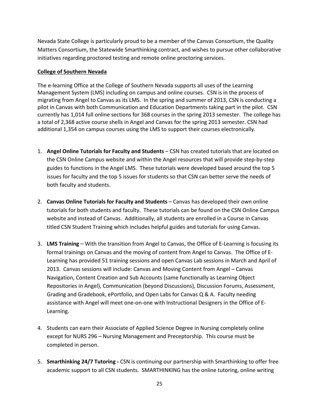Nevada State College is particularly proud to be a member of the Canvas Consortium, the Quality Matters Consortium, the Statewide Smarthinking contract, and wishes to pursue other collaborative initiatives regarding proctored testing and remote online proctoring services.

### **College of Southern Nevada**

The e-learning Office at the College of Southern Nevada supports all uses of the Learning Management System (LMS) including on campus and online courses. CSN is in the process of migrating from Angel to Canvas as its LMS. In the spring and summer of 2013, CSN is conducting a pilot in Canvas with both Communication and Education Departments taking part in the pilot. CSN currently has 1,014 full online sections for 368 courses in the spring 2013 semester. The college has a total of 2,368 active course shells in Angel and Canvas for the spring 2013 semester. CSN had additional 1,354 on campus courses using the LMS to support their courses electronically.

- 1. **Angel Online Tutorials for Faculty and Students** CSN has created tutorials that are located on the CSN Online Campus website and within the Angel resources that will provide step-by-step guides to functions in the Angel LMS. These tutorials were developed based around the top 5 issues for faculty and the top 5 issues for students so that CSN can better serve the needs of both faculty and students.
- 2. **Canvas Online Tutorials for Faculty and Students**  Canvas has developed their own online tutorials for both students and faculty. These tutorials can be found on the CSN Online Campus website and instead of Canvas. Additionally, all students are enrolled in a Course in Canvas titled CSN Student Training which includes helpful guides and tutorials for using Canvas.
- 3. **LMS Training** With the transition from Angel to Canvas, the Office of E-Learning is focusing its formal trainings on Canvas and the moving of content from Angel to Canvas. The Office of E-Learning has provided 51 training sessions and open Canvas Lab sessions in March and April of 2013. Canvas sessions will include: Canvas and Moving Content from Angel – Canvas Navigation, Content Creation and Sub Accounts (same functionally as Learning Object Repositories in Angel), Communication (beyond Discussions), Discussion Forums, Assessment, Grading and Gradebook, ePortfolio, and Open Labs for Canvas Q & A. Faculty needing assistance with Angel will meet one-on-one with Instructional Designers in the Office of E-Learning.
- 4. Students can earn their Associate of Applied Science Degree in Nursing completely online except for NURS 296 – Nursing Management and Preceptorship. This course must be completed in person.
- 5. **Smarthinking 24/7 Tutoring -** CSN is continuing our partnership with Smarthinking to offer free academic support to all CSN students. SMARTHINKING has the online tutoring, online writing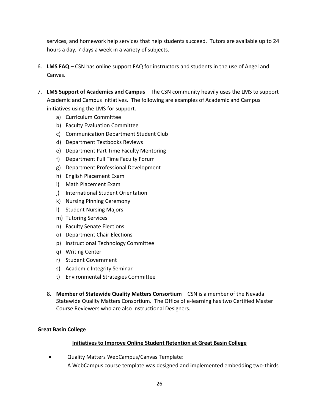services, and homework help services that help students succeed. Tutors are available up to 24 hours a day, 7 days a week in a variety of subjects.

- 6. **LMS FAQ** CSN has online support FAQ for instructors and students in the use of Angel and Canvas.
- 7. **LMS Support of Academics and Campus**  The CSN community heavily uses the LMS to support Academic and Campus initiatives. The following are examples of Academic and Campus initiatives using the LMS for support.
	- a) Curriculum Committee
	- b) Faculty Evaluation Committee
	- c) Communication Department Student Club
	- d) Department Textbooks Reviews
	- e) Department Part Time Faculty Mentoring
	- f) Department Full Time Faculty Forum
	- g) Department Professional Development
	- h) English Placement Exam
	- i) Math Placement Exam
	- j) International Student Orientation
	- k) Nursing Pinning Ceremony
	- l) Student Nursing Majors
	- m) Tutoring Services
	- n) Faculty Senate Elections
	- o) Department Chair Elections
	- p) Instructional Technology Committee
	- q) Writing Center
	- r) Student Government
	- s) Academic Integrity Seminar
	- t) Environmental Strategies Committee
	- 8. **Member of Statewide Quality Matters Consortium**  CSN is a member of the Nevada Statewide Quality Matters Consortium. The Office of e-learning has two Certified Master Course Reviewers who are also Instructional Designers.

### **Great Basin College**

### **Initiatives to Improve Online Student Retention at Great Basin College**

• Quality Matters WebCampus/Canvas Template: A WebCampus course template was designed and implemented embedding two-thirds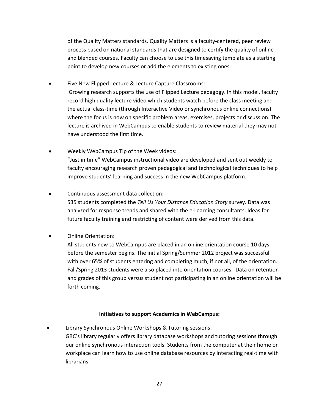of the Quality Matters standards. Quality Matters is a faculty-centered, peer review process based on national standards that are designed to certify the quality of online and blended courses. Faculty can choose to use this timesaving template as a starting point to develop new courses or add the elements to existing ones.

- Five New Flipped Lecture & Lecture Capture Classrooms: Growing research supports the use of Flipped Lecture pedagogy. In this model, faculty record high quality lecture video which students watch before the class meeting and the actual class-time (through Interactive Video or synchronous online connections) where the focus is now on specific problem areas, exercises, projects or discussion. The lecture is archived in WebCampus to enable students to review material they may not have understood the first time.
- Weekly WebCampus Tip of the Week videos: "Just in time" WebCampus instructional video are developed and sent out weekly to faculty encouraging research proven pedagogical and technological techniques to help improve students' learning and success in the new WebCampus platform.
	- Continuous assessment data collection: 535 students completed the *Tell Us Your Distance Education Story* survey. Data was analyzed for response trends and shared with the e-Learning consultants. Ideas for future faculty training and restricting of content were derived from this data.
- Online Orientation:

All students new to WebCampus are placed in an online orientation course 10 days before the semester begins. The initial Spring/Summer 2012 project was successful with over 65% of students entering and completing much, if not all, of the orientation. Fall/Spring 2013 students were also placed into orientation courses. Data on retention and grades of this group versus student not participating in an online orientation will be forth coming.

### **Initiatives to support Academics in WebCampus:**

• Library Synchronous Online Workshops & Tutoring sessions: GBC's library regularly offers library database workshops and tutoring sessions through our online synchronous interaction tools. Students from the computer at their home or workplace can learn how to use online database resources by interacting real-time with librarians.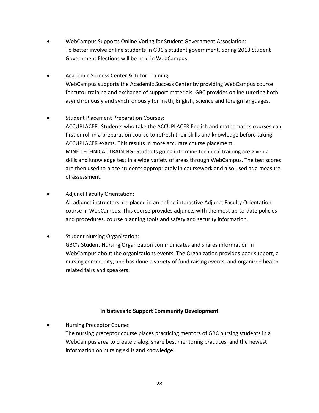- WebCampus Supports Online Voting for Student Government Association: To better involve online students in GBC's student government, Spring 2013 Student Government Elections will be held in WebCampus.
- Academic Success Center & Tutor Training: WebCampus supports the Academic Success Center by providing WebCampus course for tutor training and exchange of support materials. GBC provides online tutoring both asynchronously and synchronously for math, English, science and foreign languages.
- Student Placement Preparation Courses: ACCUPLACER- Students who take the ACCUPLACER English and mathematics courses can first enroll in a preparation course to refresh their skills and knowledge before taking ACCUPLACER exams. This results in more accurate course placement. MINE TECHNICAL TRAINING- Students going into mine technical training are given a skills and knowledge test in a wide variety of areas through WebCampus. The test scores are then used to place students appropriately in coursework and also used as a measure of assessment.
- Adjunct Faculty Orientation: All adjunct instructors are placed in an online interactive Adjunct Faculty Orientation course in WebCampus. This course provides adjuncts with the most up-to-date policies and procedures, course planning tools and safety and security information.
- Student Nursing Organization: GBC's Student Nursing Organization communicates and shares information in WebCampus about the organizations events. The Organization provides peer support, a nursing community, and has done a variety of fund raising events, and organized health related fairs and speakers.

### **Initiatives to Support Community Development**

• Nursing Preceptor Course: The nursing preceptor course places practicing mentors of GBC nursing students in a WebCampus area to create dialog, share best mentoring practices, and the newest information on nursing skills and knowledge.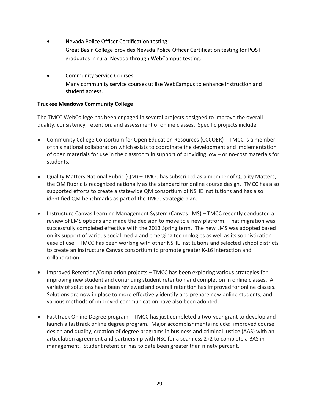- Nevada Police Officer Certification testing: Great Basin College provides Nevada Police Officer Certification testing for POST graduates in rural Nevada through WebCampus testing.
- Community Service Courses: Many community service courses utilize WebCampus to enhance instruction and student access.

### **Truckee Meadows Community College**

The TMCC WebCollege has been engaged in several projects designed to improve the overall quality, consistency, retention, and assessment of online classes. Specific projects include

- Community College Consortium for Open Education Resources (CCCOER) TMCC is a member of this national collaboration which exists to coordinate the development and implementation of open materials for use in the classroom in support of providing low – or no-cost materials for students.
- Quality Matters National Rubric (QM) TMCC has subscribed as a member of Quality Matters; the QM Rubric is recognized nationally as the standard for online course design. TMCC has also supported efforts to create a statewide QM consortium of NSHE institutions and has also identified QM benchmarks as part of the TMCC strategic plan.
- Instructure Canvas Learning Management System (Canvas LMS) TMCC recently conducted a review of LMS options and made the decision to move to a new platform. That migration was successfully completed effective with the 2013 Spring term. The new LMS was adopted based on its support of various social media and emerging technologies as well as its sophistication ease of use. TMCC has been working with other NSHE institutions and selected school districts to create an Instructure Canvas consortium to promote greater K-16 interaction and collaboration
- Improved Retention/Completion projects TMCC has been exploring various strategies for improving new student and continuing student retention and completion in online classes. A variety of solutions have been reviewed and overall retention has improved for online classes. Solutions are now in place to more effectively identify and prepare new online students, and various methods of improved communication have also been adopted.
- FastTrack Online Degree program TMCC has just completed a two-year grant to develop and launch a fasttrack online degree program. Major accomplishments include: improved course design and quality, creation of degree programs in business and criminal justice (AAS) with an articulation agreement and partnership with NSC for a seamless 2+2 to complete a BAS in management. Student retention has to date been greater than ninety percent.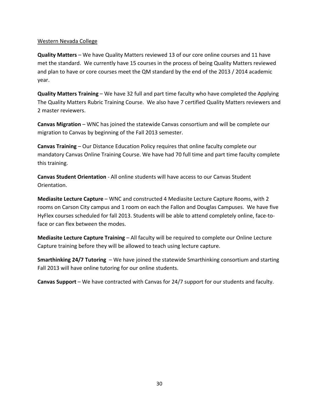### Western Nevada College

**Quality Matters** – We have Quality Matters reviewed 13 of our core online courses and 11 have met the standard. We currently have 15 courses in the process of being Quality Matters reviewed and plan to have or core courses meet the QM standard by the end of the 2013 / 2014 academic year.

**Quality Matters Training** – We have 32 full and part time faculty who have completed the Applying The Quality Matters Rubric Training Course. We also have 7 certified Quality Matters reviewers and 2 master reviewers.

**Canvas Migration** – WNC has joined the statewide Canvas consortium and will be complete our migration to Canvas by beginning of the Fall 2013 semester.

**Canvas Training** – Our Distance Education Policy requires that online faculty complete our mandatory Canvas Online Training Course. We have had 70 full time and part time faculty complete this training.

**Canvas Student Orientation** - All online students will have access to our Canvas Student Orientation.

**Mediasite Lecture Capture** – WNC and constructed 4 Mediasite Lecture Capture Rooms, with 2 rooms on Carson City campus and 1 room on each the Fallon and Douglas Campuses. We have five HyFlex courses scheduled for fall 2013. Students will be able to attend completely online, face-toface or can flex between the modes.

**Mediasite Lecture Capture Training** – All faculty will be required to complete our Online Lecture Capture training before they will be allowed to teach using lecture capture.

**Smarthinking 24/7 Tutoring** – We have joined the statewide Smarthinking consortium and starting Fall 2013 will have online tutoring for our online students.

**Canvas Support** – We have contracted with Canvas for 24/7 support for our students and faculty.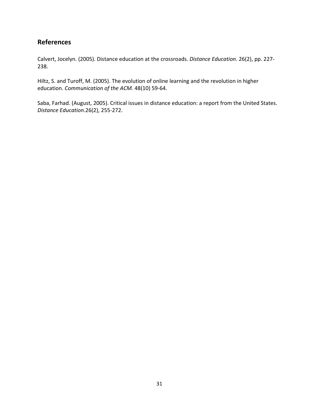# **References**

Calvert, Jocelyn. (2005). Distance education at the crossroads. *Distance Education*. 26(2), pp. 227- 238.

Hiltz, S. and Turoff, M. (2005). The evolution of online learning and the revolution in higher education. *Communication of the ACM.* 48(10) 59-64.

Saba, Farhad. (August, 2005). Critical issues in distance education: a report from the United States. *Distance Education*.26(2), 255-272.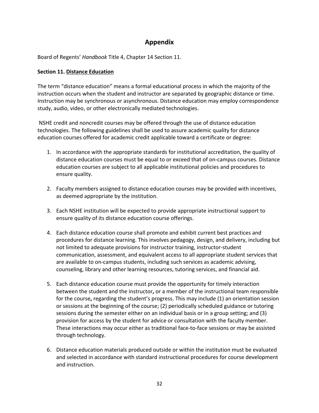# **Appendix**

Board of Regents' *Handbook* Title 4, Chapter 14 Section 11.

### **Section 11. Distance Education**

The term "distance education" means a formal educational process in which the majority of the instruction occurs when the student and instructor are separated by geographic distance or time. Instruction may be synchronous or asynchronous. Distance education may employ correspondence study, audio, video, or other electronically mediated technologies.

NSHE credit and noncredit courses may be offered through the use of distance education technologies. The following guidelines shall be used to assure academic quality for distance education courses offered for academic credit applicable toward a certificate or degree:

- 1. In accordance with the appropriate standards for institutional accreditation, the quality of distance education courses must be equal to or exceed that of on-campus courses. Distance education courses are subject to all applicable institutional policies and procedures to ensure quality.
- 2. Faculty members assigned to distance education courses may be provided with incentives, as deemed appropriate by the institution.
- 3. Each NSHE institution will be expected to provide appropriate instructional support to ensure quality of its distance education course offerings.
- 4. Each distance education course shall promote and exhibit current best practices and procedures for distance learning. This involves pedagogy, design, and delivery, including but not limited to adequate provisions for instructor training, instructor-student communication, assessment, and equivalent access to all appropriate student services that are available to on-campus students, including such services as academic advising, counseling, library and other learning resources, tutoring services, and financial aid.
- 5. Each distance education course must provide the opportunity for timely interaction between the student and the instructor**,** or a member of the instructional team responsible for the course**,** regarding the student's progress. This may include (1) an orientation session or sessions at the beginning of the course; (2) periodically scheduled guidance or tutoring sessions during the semester either on an individual basis or in a group setting; and (3) provision for access by the student for advice or consultation with the faculty member. These interactions may occur either as traditional face-to-face sessions or may be assisted through technology.
- 6. Distance education materials produced outside or within the institution must be evaluated and selected in accordance with standard instructional procedures for course development and instruction.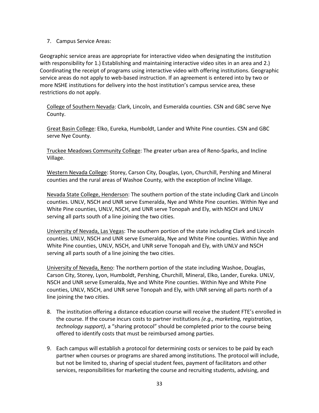### 7. Campus Service Areas:

Geographic service areas are appropriate for interactive video when designating the institution with responsibility for 1.) Establishing and maintaining interactive video sites in an area and 2.) Coordinating the receipt of programs using interactive video with offering institutions. Geographic service areas do not apply to web-based instruction. If an agreement is entered into by two or more NSHE institutions for delivery into the host institution's campus service area, these restrictions do not apply.

College of Southern Nevada: Clark, Lincoln, and Esmeralda counties. CSN and GBC serve Nye County.

Great Basin College: Elko, Eureka, Humboldt, Lander and White Pine counties. CSN and GBC serve Nye County.

Truckee Meadows Community College: The greater urban area of Reno-Sparks, and Incline Village.

Western Nevada College: Storey, Carson City, Douglas, Lyon, Churchill, Pershing and Mineral counties and the rural areas of Washoe County, with the exception of Incline Village.

Nevada State College, Henderson: The southern portion of the state including Clark and Lincoln counties. UNLV, NSCH and UNR serve Esmeralda, Nye and White Pine counties. Within Nye and White Pine counties, UNLV, NSCH, and UNR serve Tonopah and Ely, with NSCH and UNLV serving all parts south of a line joining the two cities.

University of Nevada, Las Vegas: The southern portion of the state including Clark and Lincoln counties. UNLV, NSCH and UNR serve Esmeralda, Nye and White Pine counties. Within Nye and White Pine counties, UNLV, NSCH, and UNR serve Tonopah and Ely, with UNLV and NSCH serving all parts south of a line joining the two cities.

University of Nevada, Reno: The northern portion of the state including Washoe, Douglas, Carson City, Storey, Lyon, Humboldt, Pershing, Churchill, Mineral, Elko, Lander, Eureka. UNLV, NSCH and UNR serve Esmeralda, Nye and White Pine counties. Within Nye and White Pine counties, UNLV, NSCH, and UNR serve Tonopah and Ely, with UNR serving all parts north of a line joining the two cities.

- 8. The institution offering a distance education course will receive the student FTE's enrolled in the course. If the course incurs costs to partner institutions *(e.g., marketing, registration, technology support)*, a "sharing protocol" should be completed prior to the course being offered to identify costs that must be reimbursed among parties.
- 9. Each campus will establish a protocol for determining costs or services to be paid by each partner when courses or programs are shared among institutions. The protocol will include, but not be limited to, sharing of special student fees, payment of facilitators and other services, responsibilities for marketing the course and recruiting students, advising, and